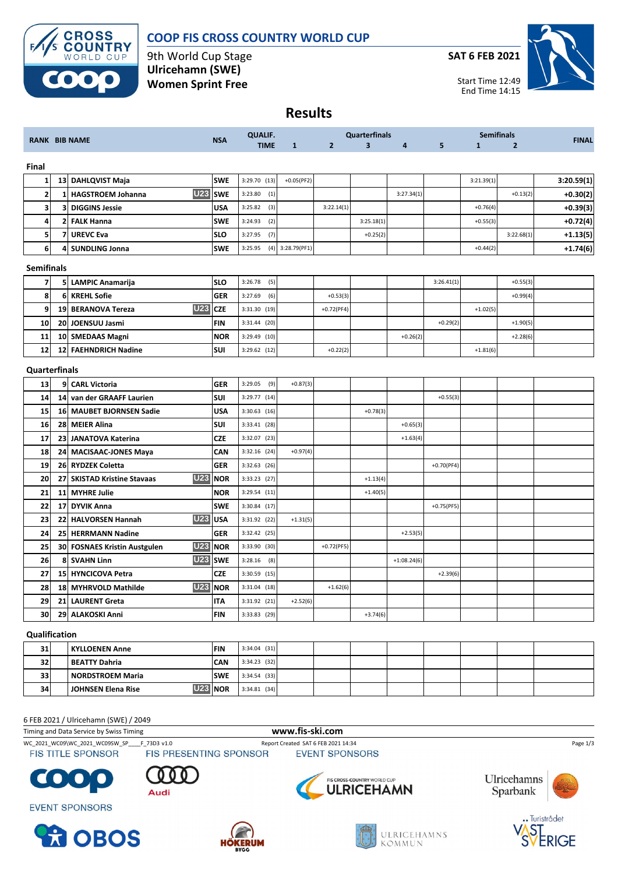

## **COOP FIS CROSS COUNTRY WORLD CUP**

9th World Cup Stage **Ulricehamn (SWE) Women Sprint Free**

**SAT 6 FEB 2021**



**Results**

|                         |          |                                               |            | <b>QUALIF.</b> |              | <b>Quarterfinals</b> |            |               | <b>Semifinals</b> |              |                |              |
|-------------------------|----------|-----------------------------------------------|------------|----------------|--------------|----------------------|------------|---------------|-------------------|--------------|----------------|--------------|
|                         |          | <b>RANK BIB NAME</b>                          | <b>NSA</b> | <b>TIME</b>    | $\mathbf{1}$ | $\overline{2}$       | 3          | 4             | 5                 | $\mathbf{1}$ | $\overline{2}$ | <b>FINAL</b> |
| Final                   |          |                                               |            |                |              |                      |            |               |                   |              |                |              |
| $\mathbf{1}$            |          | 13 DAHLQVIST Maja                             | <b>SWE</b> | 3:29.70 (13)   | $+0.05(PF2)$ |                      |            |               |                   | 3:21.39(1)   |                | 3:20.59(1)   |
| $\overline{\mathbf{2}}$ | 1        | <b>U23</b><br><b>HAGSTROEM Johanna</b>        | <b>SWE</b> | 3:23.80<br>(1) |              |                      |            | 3:27.34(1)    |                   |              | $+0.13(2)$     | $+0.30(2)$   |
| 3                       | 3        | <b>DIGGINS Jessie</b>                         | <b>USA</b> | 3:25.82<br>(3) |              | 3:22.14(1)           |            |               |                   | $+0.76(4)$   |                | $+0.39(3)$   |
| 4                       | 2        | <b>FALK Hanna</b>                             | <b>SWE</b> | 3:24.93<br>(2) |              |                      | 3:25.18(1) |               |                   | $+0.55(3)$   |                | $+0.72(4)$   |
| 5                       | 7        | <b>UREVC Eva</b>                              | <b>SLO</b> | 3:27.95<br>(7) |              |                      | $+0.25(2)$ |               |                   |              | 3:22.68(1)     | $+1.13(5)$   |
| $6 \mid$                | 4        | <b>SUNDLING Jonna</b>                         | <b>SWE</b> | 3:25.95<br>(4) | 3:28.79(PF1) |                      |            |               |                   | $+0.44(2)$   |                | $+1.74(6)$   |
| <b>Semifinals</b>       |          |                                               |            |                |              |                      |            |               |                   |              |                |              |
| $\overline{7}$          |          | 5 LAMPIC Anamarija                            | <b>SLO</b> | 3:26.78<br>(5) |              |                      |            |               | 3:26.41(1)        |              | $+0.55(3)$     |              |
| 8                       | $6 \mid$ | <b>KREHL Sofie</b>                            | <b>GER</b> | 3:27.69<br>(6) |              | $+0.53(3)$           |            |               |                   |              | $+0.99(4)$     |              |
| 9                       |          | <b>U23</b><br>19 BERANOVA Tereza              | <b>CZE</b> | 3:31.30 (19)   |              | $+0.72(PF4)$         |            |               |                   | $+1.02(5)$   |                |              |
| 10                      |          | 20 JOENSUU Jasmi                              | <b>FIN</b> | $3:31.44$ (20) |              |                      |            |               | $+0.29(2)$        |              | $+1.90(5)$     |              |
| 11                      |          | 10 SMEDAAS Magni                              | <b>NOR</b> | $3:29.49$ (10) |              |                      |            | $+0.26(2)$    |                   |              | $+2.28(6)$     |              |
| 12                      |          | 12 FAEHNDRICH Nadine                          | <b>SUI</b> | 3:29.62 (12)   |              | $+0.22(2)$           |            |               |                   | $+1.81(6)$   |                |              |
| Quarterfinals           |          |                                               |            |                |              |                      |            |               |                   |              |                |              |
| 13                      |          | 9 CARL Victoria                               | <b>GER</b> | 3:29.05<br>(9) | $+0.87(3)$   |                      |            |               |                   |              |                |              |
| 14                      |          | 14 van der GRAAFF Laurien                     | SUI        | 3:29.77 (14)   |              |                      |            |               | $+0.55(3)$        |              |                |              |
| 15                      |          | 16 MAUBET BJORNSEN Sadie                      | <b>USA</b> | $3:30.63$ (16) |              |                      | $+0.78(3)$ |               |                   |              |                |              |
| 16                      |          | 28 MEIER Alina                                | <b>SUI</b> | 3:33.41 (28)   |              |                      |            | $+0.65(3)$    |                   |              |                |              |
| 17                      |          | 23 JANATOVA Katerina                          | <b>CZE</b> | 3:32.07 (23)   |              |                      |            | $+1.63(4)$    |                   |              |                |              |
| 18                      |          | 24 MACISAAC-JONES Maya                        | CAN        | $3:32.16$ (24) | $+0.97(4)$   |                      |            |               |                   |              |                |              |
| 19                      |          | 26 RYDZEK Coletta                             | <b>GER</b> | $3:32.63$ (26) |              |                      |            |               | $+0.70(PF4)$      |              |                |              |
| 20                      | 27       | <b>U23</b><br><b>SKISTAD Kristine Stavaas</b> | <b>NOR</b> | $3:33.23$ (27) |              |                      | $+1.13(4)$ |               |                   |              |                |              |
| 21                      | 11       | <b>MYHRE Julie</b>                            | <b>NOR</b> | 3:29.54 (11)   |              |                      | $+1.40(5)$ |               |                   |              |                |              |
| 22                      | 17       | <b>DYVIK Anna</b>                             | <b>SWE</b> | $3:30.84$ (17) |              |                      |            |               | $+0.75(PF5)$      |              |                |              |
| 23                      | 22       | <b>U23</b><br>HALVORSEN Hannah                | <b>USA</b> | 3:31.92 (22)   | $+1.31(5)$   |                      |            |               |                   |              |                |              |
| 24                      |          | 25 HERRMANN Nadine                            | <b>GER</b> | 3:32.42 (25)   |              |                      |            | $+2.53(5)$    |                   |              |                |              |
| 25                      |          | <b>U23</b><br>30 FOSNAES Kristin Austgulen    | <b>NOR</b> | 3:33.90 (30)   |              | $+0.72(PF5)$         |            |               |                   |              |                |              |
| 26                      | 8        | <b>U23</b><br><b>SVAHN Linn</b>               | <b>SWE</b> | (8)<br>3:28.16 |              |                      |            | $+1:08.24(6)$ |                   |              |                |              |
| 27                      |          | 15 HYNCICOVA Petra                            | <b>CZE</b> | $3:30.59$ (15) |              |                      |            |               | $+2.39(6)$        |              |                |              |
| 28                      |          | <b>U23</b><br>18 MYHRVOLD Mathilde            | <b>NOR</b> | $3:31.04$ (18) |              | $+1.62(6)$           |            |               |                   |              |                |              |
| 29                      |          | 21 LAURENT Greta                              | <b>ITA</b> | 3:31.92 (21)   | $+2.52(6)$   |                      |            |               |                   |              |                |              |
| 30                      |          | 29 ALAKOSKI Anni                              | FIN        | 3:33.83 (29)   |              |                      | $+3.74(6)$ |               |                   |              |                |              |
|                         | $\cdots$ |                                               |            |                |              |                      |            |               |                   |              |                |              |

#### **Qualification**

| 31 | KYLLOENEN Anne       | <b>FIN</b> | $3:34.04$ (31) |  |  |  |  |
|----|----------------------|------------|----------------|--|--|--|--|
| 32 | <b>BEATTY Dahria</b> | <b>CAN</b> | $3:34.23$ (32) |  |  |  |  |
| 33 | l NORDSTROEM Maria   | <b>SWE</b> | $3:34.54$ (33) |  |  |  |  |
| 34 | JOHNSEN Elena Rise   | II NOR     | $3:34.81$ (34) |  |  |  |  |

### 6 FEB 2021 / Ulricehamn (SWE) / 2049

Timing and Data Service by Swiss Timing **www.fis-ski.com**



FIS TITLE SPONSOR

WC\_2021\_WC09\WC\_2021\_WC09SW\_SP\_\_\_\_F\_73D3 v1.0 Report Created SAT 6 FEB 2021 14:34 Page 1/3<br>
FIS TITLE SPONSOR FIS PRESENTING SPONSOR EVENT SPONSORS

**HÖKERUM** 



**EVENT SPONSORS** 

**ROBOS** 





ULRICEHAMNS

KOMMUN





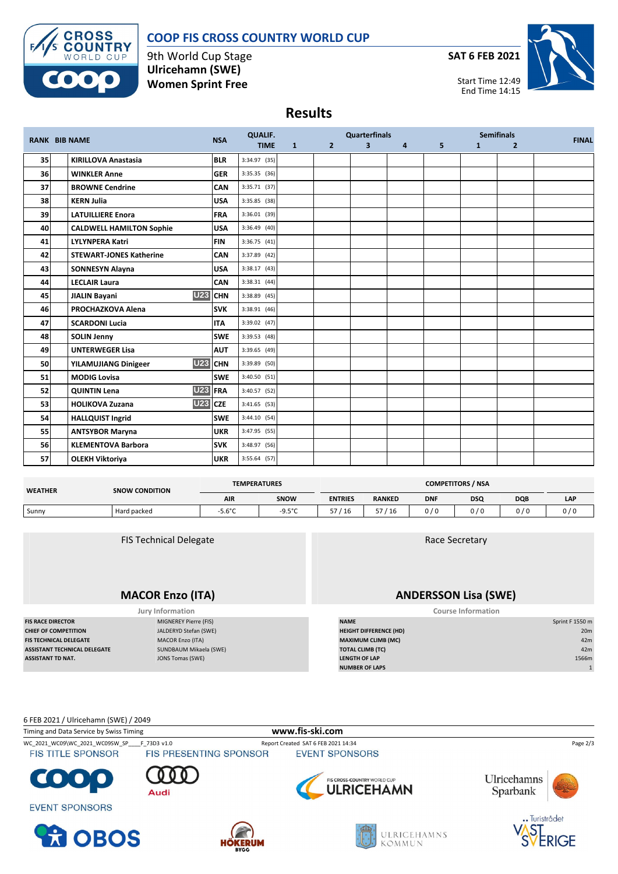# **COOP FIS CROSS COUNTRY WORLD CUP**



9th World Cup Stage **Ulricehamn (SWE) Women Sprint Free**

**SAT 6 FEB 2021**



Start Time 12:49 End Time 14:15

**Results**

| <b>RANK BIB NAME</b> |  | <b>NSA</b>                                    | <b>QUALIF.</b> | <b>Quarterfinals</b> |              |                |                |                | <b>Semifinals</b> |              |                |              |
|----------------------|--|-----------------------------------------------|----------------|----------------------|--------------|----------------|----------------|----------------|-------------------|--------------|----------------|--------------|
|                      |  |                                               |                | <b>TIME</b>          | $\mathbf{1}$ | 2 <sup>1</sup> | 3 <sup>1</sup> | $\overline{4}$ | 5 <sup>1</sup>    | $\mathbf{1}$ | $\overline{2}$ | <b>FINAL</b> |
| 35                   |  | <b>KIRILLOVA Anastasia</b>                    | <b>BLR</b>     | 3:34.97 (35)         |              |                |                |                |                   |              |                |              |
| <b>36</b>            |  | <b>WINKLER Anne</b>                           | <b>GER</b>     | 3:35.35 (36)         |              |                |                |                |                   |              |                |              |
| 37                   |  | <b>BROWNE Cendrine</b>                        | <b>CAN</b>     | 3:35.71 (37)         |              |                |                |                |                   |              |                |              |
| 38                   |  | <b>KERN Julia</b>                             | <b>USA</b>     | 3:35.85 (38)         |              |                |                |                |                   |              |                |              |
| 39                   |  | <b>LATUILLIERE Enora</b>                      | <b>FRA</b>     | 3:36.01 (39)         |              |                |                |                |                   |              |                |              |
| 40                   |  | <b>CALDWELL HAMILTON Sophie</b>               | <b>USA</b>     | $3:36.49$ (40)       |              |                |                |                |                   |              |                |              |
| 41                   |  | <b>LYLYNPERA Katri</b>                        | <b>FIN</b>     | 3:36.75(41)          |              |                |                |                |                   |              |                |              |
| 42                   |  | <b>STEWART-JONES Katherine</b>                | <b>CAN</b>     | 3:37.89 (42)         |              |                |                |                |                   |              |                |              |
| 43                   |  | <b>SONNESYN Alayna</b>                        | <b>USA</b>     | $3:38.17$ (43)       |              |                |                |                |                   |              |                |              |
| 44                   |  | <b>LECLAIR Laura</b>                          | <b>CAN</b>     | 3:38.31(44)          |              |                |                |                |                   |              |                |              |
| 45                   |  | <b>U23</b><br><b>JIALIN Bayani</b>            | <b>CHN</b>     | 3:38.89 (45)         |              |                |                |                |                   |              |                |              |
| 46                   |  | PROCHAZKOVA Alena                             | <b>SVK</b>     | $3:38.91$ (46)       |              |                |                |                |                   |              |                |              |
| 47                   |  | <b>SCARDONI Lucia</b>                         | <b>ITA</b>     | 3:39.02 (47)         |              |                |                |                |                   |              |                |              |
| 48                   |  | <b>SOLIN Jenny</b>                            | <b>SWE</b>     | 3:39.53 (48)         |              |                |                |                |                   |              |                |              |
| 49                   |  | <b>UNTERWEGER Lisa</b>                        | <b>AUT</b>     | 3:39.65 (49)         |              |                |                |                |                   |              |                |              |
| 50                   |  | <b>U23</b> CHN<br><b>YILAMUJIANG Dinigeer</b> |                | 3:39.89 (50)         |              |                |                |                |                   |              |                |              |
| 51                   |  | <b>MODIG Lovisa</b>                           | <b>SWE</b>     | 3:40.50 (51)         |              |                |                |                |                   |              |                |              |
| 52                   |  | U23 FRA<br><b>QUINTIN Lena</b>                |                | 3:40.57 (52)         |              |                |                |                |                   |              |                |              |
| 53                   |  | <b>U23</b><br><b>HOLIKOVA Zuzana</b>          | <b>CZE</b>     | $3:41.65$ (53)       |              |                |                |                |                   |              |                |              |
| 54                   |  | <b>HALLQUIST Ingrid</b>                       | <b>SWE</b>     | 3:44.10 (54)         |              |                |                |                |                   |              |                |              |
| 55                   |  | <b>ANTSYBOR Maryna</b>                        | <b>UKR</b>     | 3:47.95 (55)         |              |                |                |                |                   |              |                |              |
| 56                   |  | <b>KLEMENTOVA Barbora</b>                     | <b>SVK</b>     | 3:48.97 (56)         |              |                |                |                |                   |              |                |              |
| 57                   |  | <b>OLEKH Viktoriya</b>                        | <b>UKR</b>     | 3:55.64 (57)         |              |                |                |                |                   |              |                |              |

| <b>WEATHER</b> | <b>SNOW CONDITION</b> | <b>TEMPERATURES</b> |             | <b>COMPETITORS / NSA</b> |               |            |     |            |            |  |
|----------------|-----------------------|---------------------|-------------|--------------------------|---------------|------------|-----|------------|------------|--|
|                |                       | AIR                 | <b>SNOW</b> | <b>ENTRIES</b>           | <b>RANKED</b> | <b>DNF</b> | DSQ | <b>DQB</b> | <b>LAP</b> |  |
| Sunny          | Hard packed           | $-5.6^{\circ}$ C    | -9.5°C      | /16                      | --<br>/16     | 0/0        | 0/0 | 0 / 0      | 0/0        |  |

FIS Technical Delegate

## **MACOR Enzo (ITA)**

**FIS RACE DIRECTOR** MIGNEREY Pierre (FIS) **CHIEF OF COMPETITION HEIGHT DIFFERENCE (HD) JALDERYD** Stefan (SWE) **ASSISTANT TECHNICAL DELEGATE** SUNDBAUM Mikaela (SWE)<br>**ASSISTANT TD NAT.** JONS Tomas (SWE)

**Jury Information** 

### Race Secretary

## **ANDERSSON Lisa (SWE)**

| <b>Course Information</b> |  |
|---------------------------|--|
|                           |  |

| <b>FIS RACE DIRECTOR</b>     | MIGNEREY Pierre (FIS)   | <b>NAME</b>                   | Sprint F 1550 m |  |
|------------------------------|-------------------------|-------------------------------|-----------------|--|
| <b>CHIEF OF COMPETITION</b>  | JALDERYD Stefan (SWE)   | <b>HEIGHT DIFFERENCE (HD)</b> | 20 <sub>m</sub> |  |
| FIS TECHNICAL DELEGATE       | <b>MACOR Enzo (ITA)</b> | <b>MAXIMUM CLIMB (MC)</b>     | 42m             |  |
| ASSISTANT TECHNICAL DELEGATE | SUNDBAUM Mikaela (SWE)  | <b>TOTAL CLIMB (TC)</b>       | 42m             |  |
| ASSISTANT TD NAT.            | JONS Tomas (SWE)        | <b>LENGTH OF LAP</b>          | 1566m           |  |
|                              |                         | <b>NUMBER OF LAPS</b>         |                 |  |

6 FEB 2021 / Ulricehamn (SWE) / 2049